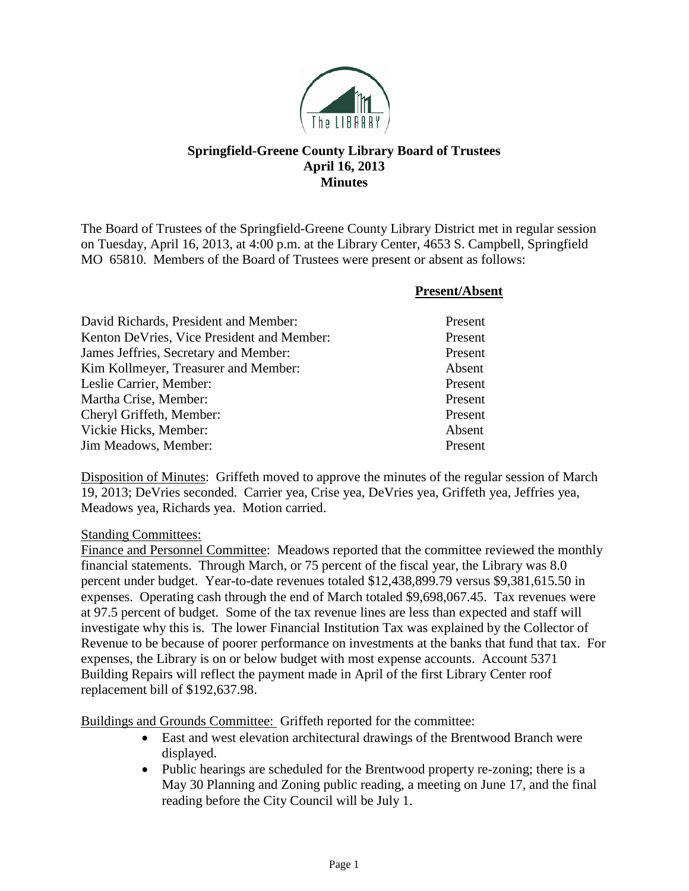

## **Springfield-Greene County Library Board of Trustees April 16, 2013 Minutes**

The Board of Trustees of the Springfield-Greene County Library District met in regular session on Tuesday, April 16, 2013, at 4:00 p.m. at the Library Center, 4653 S. Campbell, Springfield MO 65810. Members of the Board of Trustees were present or absent as follows:

|                                            | <b>Present/Absent</b> |
|--------------------------------------------|-----------------------|
| David Richards, President and Member:      | Present               |
| Kenton DeVries, Vice President and Member: | Present               |
| James Jeffries, Secretary and Member:      | Present               |
| Kim Kollmeyer, Treasurer and Member:       | Absent                |
| Leslie Carrier, Member:                    | Present               |
| Martha Crise, Member:                      | Present               |
| Cheryl Griffeth, Member:                   | Present               |
| Vickie Hicks, Member:                      | Absent                |
| Jim Meadows, Member:                       | Present               |

Disposition of Minutes: Griffeth moved to approve the minutes of the regular session of March 19, 2013; DeVries seconded. Carrier yea, Crise yea, DeVries yea, Griffeth yea, Jeffries yea, Meadows yea, Richards yea. Motion carried.

#### Standing Committees:

Finance and Personnel Committee: Meadows reported that the committee reviewed the monthly financial statements. Through March, or 75 percent of the fiscal year, the Library was 8.0 percent under budget. Year-to-date revenues totaled \$12,438,899.79 versus \$9,381,615.50 in expenses. Operating cash through the end of March totaled \$9,698,067.45. Tax revenues were at 97.5 percent of budget. Some of the tax revenue lines are less than expected and staff will investigate why this is. The lower Financial Institution Tax was explained by the Collector of Revenue to be because of poorer performance on investments at the banks that fund that tax. For expenses, the Library is on or below budget with most expense accounts. Account 5371 Building Repairs will reflect the payment made in April of the first Library Center roof replacement bill of \$192,637.98.

Buildings and Grounds Committee: Griffeth reported for the committee:

- East and west elevation architectural drawings of the Brentwood Branch were displayed.
- Public hearings are scheduled for the Brentwood property re-zoning; there is a May 30 Planning and Zoning public reading, a meeting on June 17, and the final reading before the City Council will be July 1.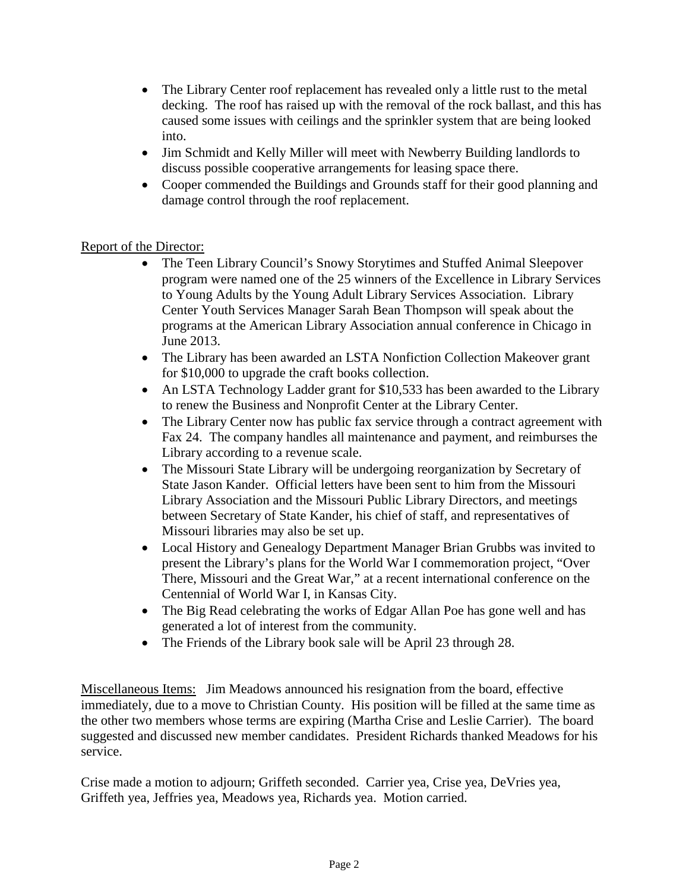- The Library Center roof replacement has revealed only a little rust to the metal decking. The roof has raised up with the removal of the rock ballast, and this has caused some issues with ceilings and the sprinkler system that are being looked into.
- Jim Schmidt and Kelly Miller will meet with Newberry Building landlords to discuss possible cooperative arrangements for leasing space there.
- Cooper commended the Buildings and Grounds staff for their good planning and damage control through the roof replacement.

## Report of the Director:

- The Teen Library Council's Snowy Storytimes and Stuffed Animal Sleepover program were named one of the 25 winners of the Excellence in Library Services to Young Adults by the Young Adult Library Services Association. Library Center Youth Services Manager Sarah Bean Thompson will speak about the programs at the American Library Association annual conference in Chicago in June 2013.
- The Library has been awarded an LSTA Nonfiction Collection Makeover grant for \$10,000 to upgrade the craft books collection.
- An LSTA Technology Ladder grant for \$10,533 has been awarded to the Library to renew the Business and Nonprofit Center at the Library Center.
- The Library Center now has public fax service through a contract agreement with Fax 24. The company handles all maintenance and payment, and reimburses the Library according to a revenue scale.
- The Missouri State Library will be undergoing reorganization by Secretary of State Jason Kander. Official letters have been sent to him from the Missouri Library Association and the Missouri Public Library Directors, and meetings between Secretary of State Kander, his chief of staff, and representatives of Missouri libraries may also be set up.
- Local History and Genealogy Department Manager Brian Grubbs was invited to present the Library's plans for the World War I commemoration project, "Over There, Missouri and the Great War," at a recent international conference on the Centennial of World War I, in Kansas City.
- The Big Read celebrating the works of Edgar Allan Poe has gone well and has generated a lot of interest from the community.
- The Friends of the Library book sale will be April 23 through 28.

Miscellaneous Items: Jim Meadows announced his resignation from the board, effective immediately, due to a move to Christian County. His position will be filled at the same time as the other two members whose terms are expiring (Martha Crise and Leslie Carrier). The board suggested and discussed new member candidates. President Richards thanked Meadows for his service.

Crise made a motion to adjourn; Griffeth seconded. Carrier yea, Crise yea, DeVries yea, Griffeth yea, Jeffries yea, Meadows yea, Richards yea. Motion carried.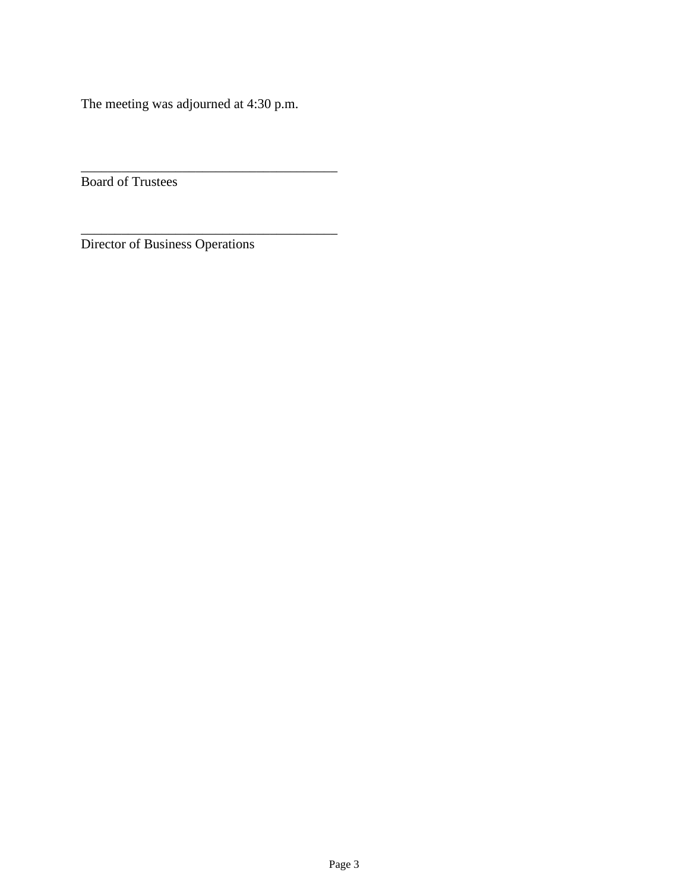The meeting was adjourned at 4:30 p.m.

\_\_\_\_\_\_\_\_\_\_\_\_\_\_\_\_\_\_\_\_\_\_\_\_\_\_\_\_\_\_\_\_\_\_\_\_\_\_

\_\_\_\_\_\_\_\_\_\_\_\_\_\_\_\_\_\_\_\_\_\_\_\_\_\_\_\_\_\_\_\_\_\_\_\_\_\_

Board of Trustees

Director of Business Operations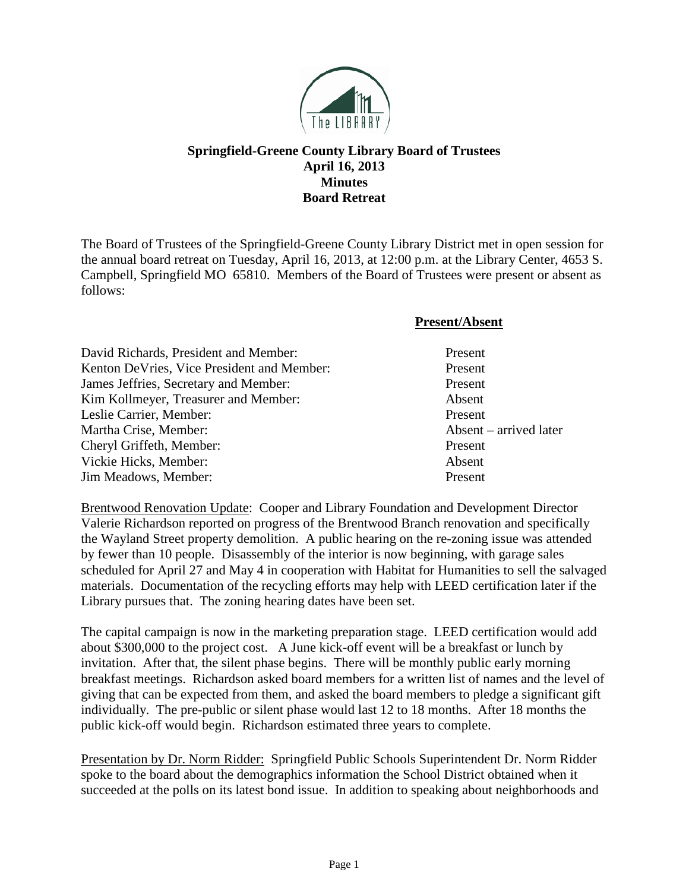

## **Springfield-Greene County Library Board of Trustees April 16, 2013 Minutes Board Retreat**

The Board of Trustees of the Springfield-Greene County Library District met in open session for the annual board retreat on Tuesday, April 16, 2013, at 12:00 p.m. at the Library Center, 4653 S. Campbell, Springfield MO 65810. Members of the Board of Trustees were present or absent as follows:

| <b>Present/Absent</b> |
|-----------------------|
|-----------------------|

| David Richards, President and Member:      | Present                |
|--------------------------------------------|------------------------|
| Kenton DeVries, Vice President and Member: | Present                |
| James Jeffries, Secretary and Member:      | Present                |
| Kim Kollmeyer, Treasurer and Member:       | Absent                 |
| Leslie Carrier, Member:                    | Present                |
| Martha Crise, Member:                      | Absent – arrived later |
| Cheryl Griffeth, Member:                   | Present                |
| Vickie Hicks, Member:                      | Absent                 |
| Jim Meadows, Member:                       | Present                |

Brentwood Renovation Update: Cooper and Library Foundation and Development Director Valerie Richardson reported on progress of the Brentwood Branch renovation and specifically the Wayland Street property demolition. A public hearing on the re-zoning issue was attended by fewer than 10 people. Disassembly of the interior is now beginning, with garage sales scheduled for April 27 and May 4 in cooperation with Habitat for Humanities to sell the salvaged materials. Documentation of the recycling efforts may help with LEED certification later if the Library pursues that. The zoning hearing dates have been set.

The capital campaign is now in the marketing preparation stage. LEED certification would add about \$300,000 to the project cost. A June kick-off event will be a breakfast or lunch by invitation. After that, the silent phase begins. There will be monthly public early morning breakfast meetings. Richardson asked board members for a written list of names and the level of giving that can be expected from them, and asked the board members to pledge a significant gift individually. The pre-public or silent phase would last 12 to 18 months. After 18 months the public kick-off would begin. Richardson estimated three years to complete.

Presentation by Dr. Norm Ridder: Springfield Public Schools Superintendent Dr. Norm Ridder spoke to the board about the demographics information the School District obtained when it succeeded at the polls on its latest bond issue. In addition to speaking about neighborhoods and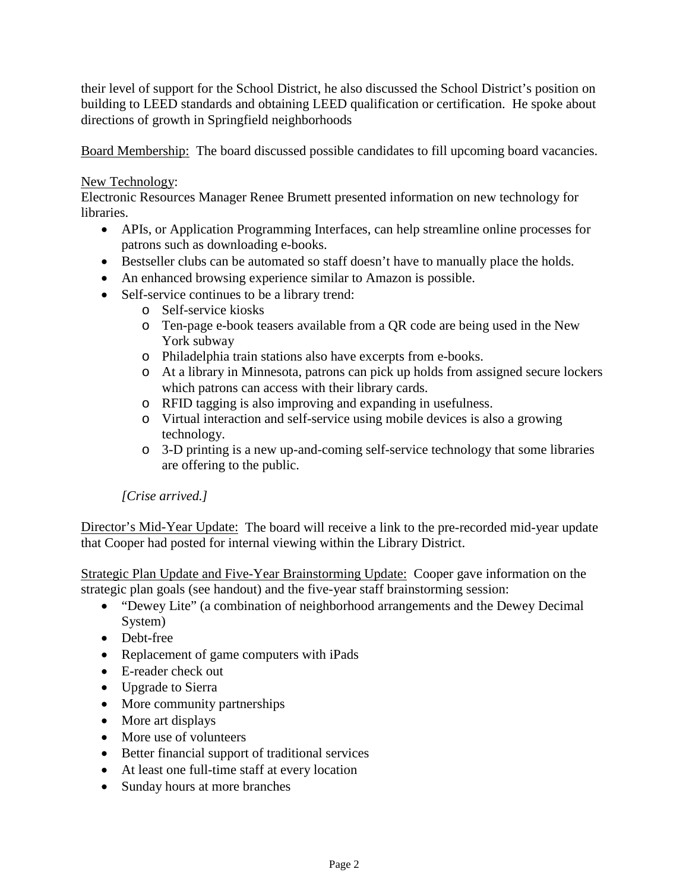their level of support for the School District, he also discussed the School District's position on building to LEED standards and obtaining LEED qualification or certification. He spoke about directions of growth in Springfield neighborhoods

Board Membership: The board discussed possible candidates to fill upcoming board vacancies.

#### New Technology:

Electronic Resources Manager Renee Brumett presented information on new technology for libraries.

- APIs, or Application Programming Interfaces, can help streamline online processes for patrons such as downloading e-books.
- Bestseller clubs can be automated so staff doesn't have to manually place the holds.
- An enhanced browsing experience similar to Amazon is possible.
- Self-service continues to be a library trend:
	- o Self-service kiosks
	- o Ten-page e-book teasers available from a QR code are being used in the New York subway
	- o Philadelphia train stations also have excerpts from e-books.
	- o At a library in Minnesota, patrons can pick up holds from assigned secure lockers which patrons can access with their library cards.
	- o RFID tagging is also improving and expanding in usefulness.
	- o Virtual interaction and self-service using mobile devices is also a growing technology.
	- o 3-D printing is a new up-and-coming self-service technology that some libraries are offering to the public.

# *[Crise arrived.]*

Director's Mid-Year Update: The board will receive a link to the pre-recorded mid-year update that Cooper had posted for internal viewing within the Library District.

Strategic Plan Update and Five-Year Brainstorming Update: Cooper gave information on the strategic plan goals (see handout) and the five-year staff brainstorming session:

- "Dewey Lite" (a combination of neighborhood arrangements and the Dewey Decimal System)
- Debt-free
- Replacement of game computers with iPads
- E-reader check out
- Upgrade to Sierra
- More community partnerships
- More art displays
- More use of volunteers
- Better financial support of traditional services
- At least one full-time staff at every location
- Sunday hours at more branches